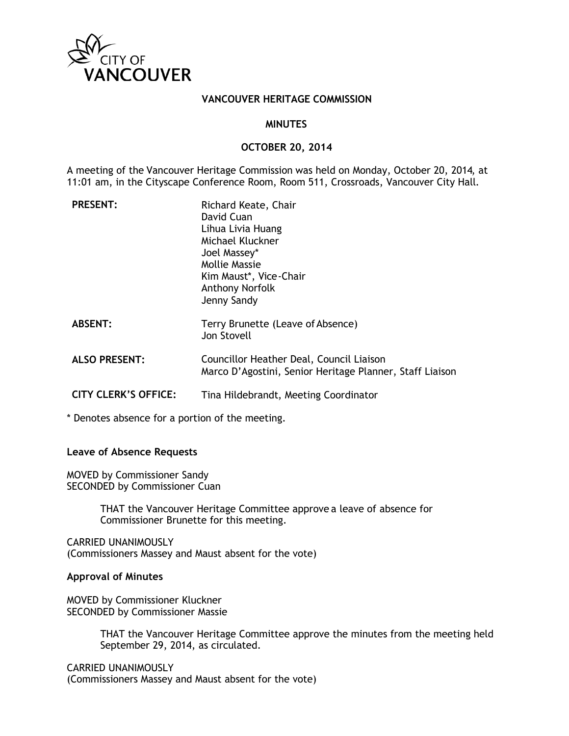

#### **VANCOUVER HERITAGE COMMISSION**

#### **MINUTES**

#### **OCTOBER 20, 2014**

A meeting of the Vancouver Heritage Commission was held on Monday, October 20, 2014, at 11:01 am, in the Cityscape Conference Room, Room 511, Crossroads, Vancouver City Hall.

| <b>PRESENT:</b>             | Richard Keate, Chair<br>David Cuan<br>Lihua Livia Huang<br>Michael Kluckner<br>Joel Massey*<br>Mollie Massie<br>Kim Maust*, Vice-Chair<br>Anthony Norfolk<br>Jenny Sandy |
|-----------------------------|--------------------------------------------------------------------------------------------------------------------------------------------------------------------------|
| <b>ABSENT:</b>              | Terry Brunette (Leave of Absence)<br>Jon Stovell                                                                                                                         |
| <b>ALSO PRESENT:</b>        | Councillor Heather Deal, Council Liaison<br>Marco D'Agostini, Senior Heritage Planner, Staff Liaison                                                                     |
| <b>CITY CLERK'S OFFICE:</b> | Tina Hildebrandt, Meeting Coordinator                                                                                                                                    |

\* Denotes absence for a portion of the meeting.

#### **Leave of Absence Requests**

MOVED by Commissioner Sandy SECONDED by Commissioner Cuan

> THAT the Vancouver Heritage Committee approve a leave of absence for Commissioner Brunette for this meeting.

CARRIED UNANIMOUSLY (Commissioners Massey and Maust absent for the vote)

#### **Approval of Minutes**

MOVED by Commissioner Kluckner SECONDED by Commissioner Massie

> THAT the Vancouver Heritage Committee approve the minutes from the meeting held September 29, 2014, as circulated.

CARRIED UNANIMOUSLY (Commissioners Massey and Maust absent for the vote)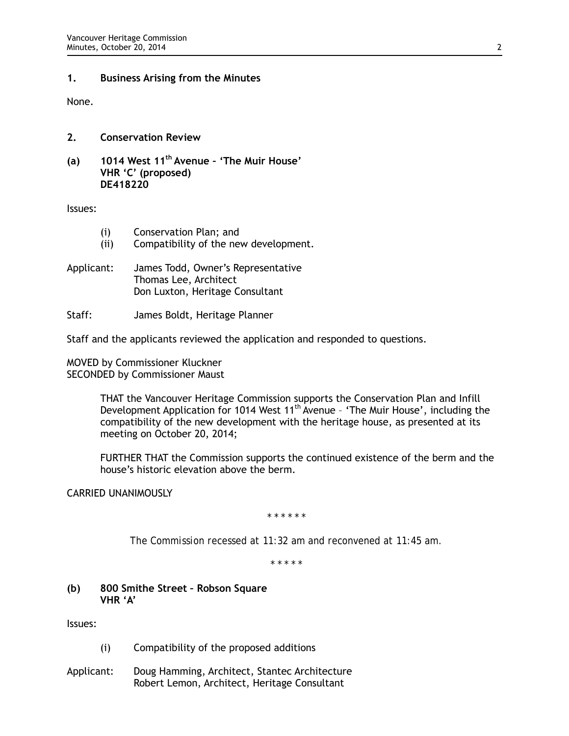#### **1. Business Arising from the Minutes**

None.

## **2. Conservation Review**

**(a) 1014 West 11th Avenue – 'The Muir House' VHR 'C' (proposed) DE418220**

Issues:

- (i) Conservation Plan; and
- (ii) Compatibility of the new development.
- Applicant: James Todd, Owner's Representative Thomas Lee, Architect Don Luxton, Heritage Consultant
- Staff: James Boldt, Heritage Planner

Staff and the applicants reviewed the application and responded to questions.

MOVED by Commissioner Kluckner SECONDED by Commissioner Maust

> THAT the Vancouver Heritage Commission supports the Conservation Plan and Infill Development Application for 1014 West 11<sup>th</sup> Avenue - 'The Muir House', including the compatibility of the new development with the heritage house, as presented at its meeting on October 20, 2014;

> FURTHER THAT the Commission supports the continued existence of the berm and the house's historic elevation above the berm.

## CARRIED UNANIMOUSLY

*\* \* \* \* \* \**

*The Commission recessed at 11:32 am and reconvened at 11:45 am.*

*\* \* \* \* \**

**(b) 800 Smithe Street – Robson Square VHR 'A'** 

Issues:

- (i) Compatibility of the proposed additions
- Applicant: Doug Hamming, Architect, Stantec Architecture Robert Lemon, Architect, Heritage Consultant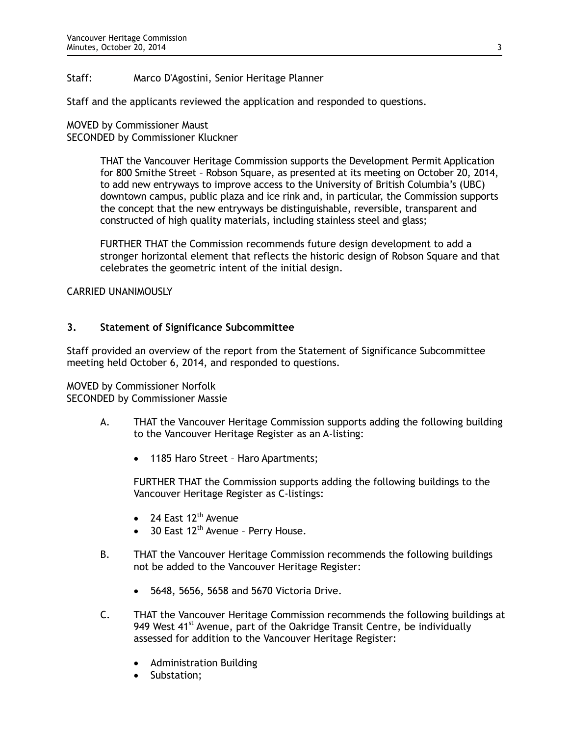## Staff: Marco D'Agostini, Senior Heritage Planner

Staff and the applicants reviewed the application and responded to questions.

MOVED by Commissioner Maust SECONDED by Commissioner Kluckner

> THAT the Vancouver Heritage Commission supports the Development Permit Application for 800 Smithe Street – Robson Square, as presented at its meeting on October 20, 2014, to add new entryways to improve access to the University of British Columbia's (UBC) downtown campus, public plaza and ice rink and, in particular, the Commission supports the concept that the new entryways be distinguishable, reversible, transparent and constructed of high quality materials, including stainless steel and glass;

> FURTHER THAT the Commission recommends future design development to add a stronger horizontal element that reflects the historic design of Robson Square and that celebrates the geometric intent of the initial design.

#### CARRIED UNANIMOUSLY

## **3. Statement of Significance Subcommittee**

Staff provided an overview of the report from the Statement of Significance Subcommittee meeting held October 6, 2014, and responded to questions.

## MOVED by Commissioner Norfolk

SECONDED by Commissioner Massie

- A. THAT the Vancouver Heritage Commission supports adding the following building to the Vancouver Heritage Register as an A-listing:
	- 1185 Haro Street Haro Apartments;

FURTHER THAT the Commission supports adding the following buildings to the Vancouver Heritage Register as C-listings:

- 24 East 12<sup>th</sup> Avenue
- 30 East 12<sup>th</sup> Avenue Perry House.
- B. THAT the Vancouver Heritage Commission recommends the following buildings not be added to the Vancouver Heritage Register:
	- 5648, 5656, 5658 and 5670 Victoria Drive.
- C. THAT the Vancouver Heritage Commission recommends the following buildings at 949 West  $41^{st}$  Avenue, part of the Oakridge Transit Centre, be individually assessed for addition to the Vancouver Heritage Register:
	- Administration Building
	- Substation;